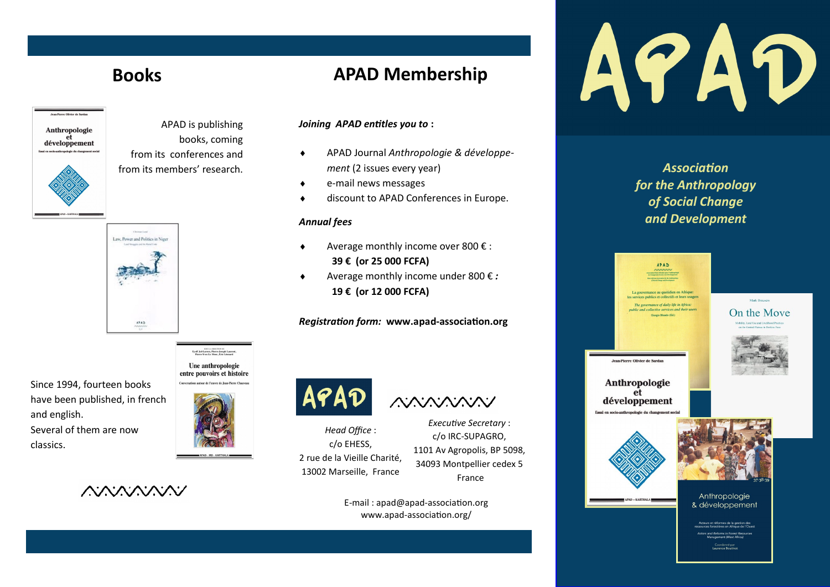# **Books**



APAD is publishing books, coming from its conferences and from its members' research.



Since 1994, fourteen books have been published, in french and english. Several of them are now classics.

Une anthropologie entre pouvoirs et histoire

SOUS LA DRECTION DE<br>Lyolf Jul-Larsen, Pierre-Joseph Laurent





## **APAD Membership**

#### *Joining APAD entitles you to* **:**

- APAD Journal *Anthropologie & développement* (2 issues every year)
- e-mail news messages
- discount to APAD Conferences in Europe.

#### *Annual fees*

- Average monthly income over 800 € : **39 € (or 25 000 FCFA)**
- Average monthly income under 800 € *:* **19 € (or 12 000 FCFA)**

#### *Registration form:* **www.apad-association.org**



APAD AMAMAN

*Head Office* : c/o EHESS, 2 rue de la Vieille Charité, 13002 Marseille, France

*Executive Secretary* : c/o IRC-SUPAGRO, 1101 Av Agropolis, BP 5098, 34093 Montpellier cedex 5 France

E-mail : apad@apad-association.org www.apad-association.org/



*Association for the Anthropology of Social Change and Development*